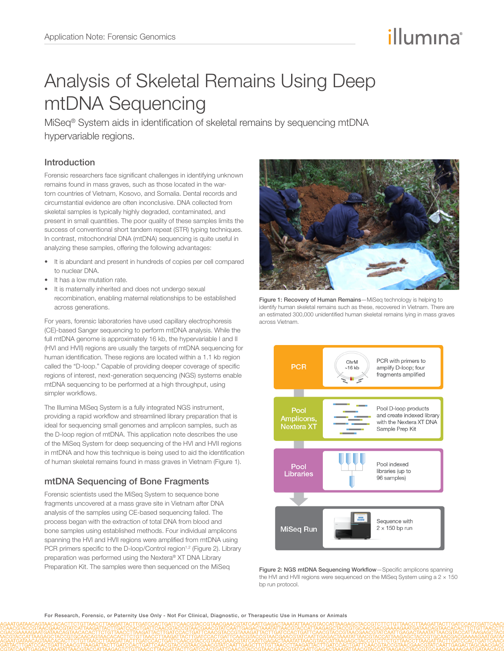# illumına

## Analysis of Skeletal Remains Using Deep mtDNA Sequencing

MiSeq® System aids in identification of skeletal remains by sequencing mtDNA hypervariable regions.

## Introduction

Forensic researchers face significant challenges in identifying unknown remains found in mass graves, such as those located in the wartorn countries of Vietnam, Kosovo, and Somalia. Dental records and circumstantial evidence are often inconclusive. DNA collected from skeletal samples is typically highly degraded, contaminated, and present in small quantities. The poor quality of these samples limits the success of conventional short tandem repeat (STR) typing techniques. In contrast, mitochondrial DNA (mtDNA) sequencing is quite useful in analyzing these samples, offering the following advantages:

- It is abundant and present in hundreds of copies per cell compared to nuclear DNA.
- It has a low mutation rate.
- It is maternally inherited and does not undergo sexual recombination, enabling maternal relationships to be established across generations.

For years, forensic laboratories have used capillary electrophoresis (CE)-based Sanger sequencing to perform mtDNA analysis. While the full mtDNA genome is approximately 16 kb, the hypervariable I and II (HVI and HVII) regions are usually the targets of mtDNA sequencing for human identification. These regions are located within a 1.1 kb region called the "D-loop." Capable of providing deeper coverage of specific regions of interest, next-generation sequencing (NGS) systems enable mtDNA sequencing to be performed at a high throughput, using simpler workflows.

The Illumina [MiSeq System](http://www.illumina.com/miseq) is a fully integrated NGS instrument, providing a rapid workflow and streamlined library preparation that is ideal for sequencing small genomes and amplicon samples, such as the D-loop region of mtDNA. This application note describes the use of the MiSeq System for deep sequencing of the HVI and HVII regions in mtDNA and how this technique is being used to aid the identification of human skeletal remains found in mass graves in Vietnam (Figure 1).

## mtDNA Sequencing of Bone Fragments

Forensic scientists used the MiSeq System to sequence bone fragments uncovered at a mass grave site in Vietnam after DNA analysis of the samples using CE-based sequencing failed. The process began with the extraction of total DNA from blood and bone samples using established methods. Four individual amplicons spanning the HVI and HVII regions were amplified from mtDNA using PCR primers specific to the D-loop/Control region<sup>1,2</sup> (Figure 2). Library preparation was performed using the Nextera® XT DNA Library Preparation Kit. The samples were then sequenced on the MiSeq



Figure 1: Recovery of Human Remains—MiSeq technology is helping to identify human skeletal remains such as these, recovered in Vietnam. There are an estimated 300,000 unidentified human skeletal remains lying in mass graves across Vietnam.



Figure 2: NGS mtDNA Sequencing Workflow—Specific amplicons spanning the HVI and HVII regions were sequenced on the MiSeq System using a  $2 \times 150$ bp run protocol.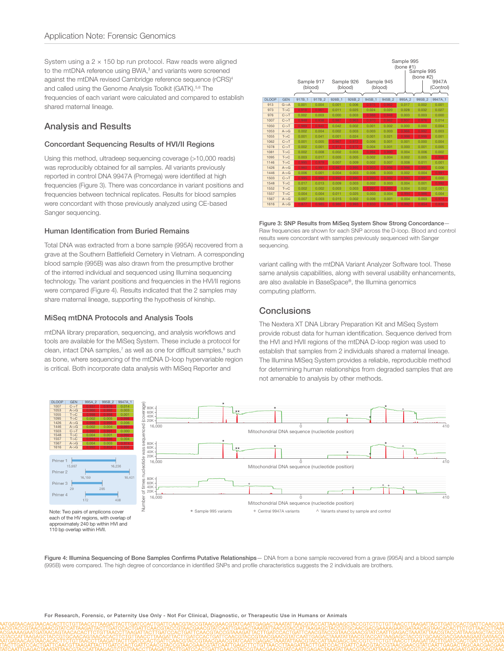System using a  $2 \times 150$  bp run protocol. Raw reads were aligned to the mtDNA reference using BWA,<sup>3</sup> and variants were screened against the mtDNA revised Cambridge reference sequence (rCRS)<sup>4</sup> and called using the Genome Analysis Toolkit (GATK).<sup>5,6</sup> The frequencies of each variant were calculated and compared to establish shared maternal lineage.

## Analysis and Results

#### Concordant Sequencing Results of HVI/II Regions

Using this method, ultradeep sequencing coverage (>10,000 reads) was reproducibly obtained for all samples. All variants previously reported in control DNA 9947A (Promega) were identified at high frequencies (Figure 3). There was concordance in variant positions and frequencies between technical replicates. Results for blood samples were concordant with those previously analyzed using CE-based Sanger sequencing.

#### Human Identification from Buried Remains

Total DNA was extracted from a bone sample (995A) recovered from a grave at the Southern Battlefield Cemetery in Vietnam. A corresponding blood sample (995B) was also drawn from the presumptive brother of the interred individual and sequenced using Illumina sequencing technology. The variant positions and frequencies in the HVI/II regions were compared (Figure 4). Results indicated that the 2 samples may share maternal lineage, supporting the hypothesis of kinship.

#### MiSeq mtDNA Protocols and Analysis Tools

mtDNA library preparation, sequencing, and analysis workflows and tools are available for the MiSeq System. These include a protocol for clean, intact DNA samples,<sup>7</sup> as well as one for difficult samples,<sup>8</sup> such as bone, where sequencing of the mtDNA D-loop hypervariable region is critical. Both incorporate data analysis with MiSeq Reporter and



Figure 3: SNP Results from MiSeq System Show Strong Concordance— Raw frequencies are shown for each SNP across the D-loop. Blood and control results were concordant with samples previously sequenced with Sanger sequencing.

variant calling with the mtDNA Variant Analyzer Software tool. These same analysis capabilities, along with several usability enhancements, are also available in BaseSpace®, the Illumina genomics computing platform.

## **Conclusions**

The Nextera XT DNA Library Preparation Kit and MiSeq System provide robust data for human identification. Sequence derived from the HVI and HVII regions of the mtDNA D-loop region was used to establish that samples from 2 individuals shared a maternal lineage. The Illumina MiSeq System provides a reliable, reproducible method for determining human relationships from degraded samples that are not amenable to analysis by other methods.



Figure 4: Illumina Sequencing of Bone Samples Confirms Putative Relationships - DNA from a bone sample recovered from a grave (995A) and a blood sample (995B) were compared. The high degree of concordance in identified SNPs and profile characteristics suggests the 2 individuals are brothers.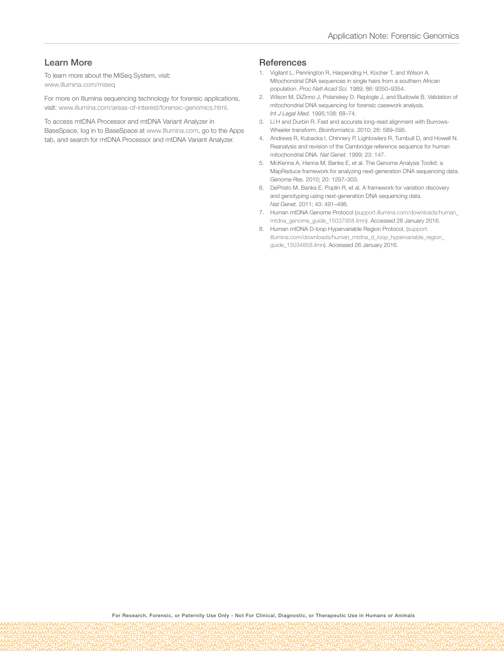## Learn More

To learn more about the MiSeq System, visit: [www.illumina.com/miseq](http://www.illumina.com/miseq)

For more on Illumina sequencing technology for forensic applications, visit: www.illumina.com/areas-of-interest/forensic-genomics.html.

To access mtDNA Processor and mtDNA Variant Analyzer in

BaseSpace, log in to BaseSpace at www.Illumina.com, go to the Apps tab, and search for mtDNA Processor and mtDNA Variant Analyzer.

#### **References**

- 1. [Vigilant L, Pennington R, Harpending H, Kocher T, and Wilson A.](http://www.ncbi.nlm.nih.gov/pubmed/2594772)  [Mitochondrial DNA sequences in single hairs from a southern African](http://www.ncbi.nlm.nih.gov/pubmed/2594772)  population. *Proc Natl Acad Sci.* [1989; 86: 9350–9354.](http://www.ncbi.nlm.nih.gov/pubmed/2594772)
- 2. [Wilson M, DiZinno J, Polanskey D, Replogle J, and Budowle B. Validation of](http://www.ncbi.nlm.nih.gov/pubmed/8547161)  [mitochondrial DNA sequencing for forensic casework analysis.](http://www.ncbi.nlm.nih.gov/pubmed/8547161)  *Int J Legal Med.* [1995;108: 68–74.](http://www.ncbi.nlm.nih.gov/pubmed/8547161)
- 3. [Li H and Durbin R. Fast and accurate long-read alignment with Burrows-](http://www.ncbi.nlm.nih.gov/pubmed/20080505)Wheeler transform. *Bioinformatics*[. 2010; 26: 589–595.](http://www.ncbi.nlm.nih.gov/pubmed/20080505)
- 4. [Andrews R, Kubacka I, Chinnery P, Lightowlers R, Turnbull D, and Howell N.](http://www.ncbi.nlm.nih.gov/pubmed/10508508)  [Reanalysis and revision of the Cambridge reference sequence for human](http://www.ncbi.nlm.nih.gov/pubmed/10508508)  [mitochondrial DNA.](http://www.ncbi.nlm.nih.gov/pubmed/10508508) *Nat Genet.* 1999; 23: 147.
- 5. [McKenna A, Hanna M, Banks E, et al. The Genome Analysis Toolkit: a](http://www.ncbi.nlm.nih.gov/pubmed/20644199)  [MapReduce framework for analyzing next-generation DNA sequencing data.](http://www.ncbi.nlm.nih.gov/pubmed/20644199)  *Genome Res.* [2010; 20: 1297–303.](http://www.ncbi.nlm.nih.gov/pubmed/20644199)
- 6. [DePristo M, Banks E, Poplin R, et al. A framework for variation discovery](http://www.ncbi.nlm.nih.gov/pubmed/21478889)  [and genotyping using next-generation DNA sequencing data.](http://www.ncbi.nlm.nih.gov/pubmed/21478889)  *Nat Genet.* [2011; 43: 491–498.](http://www.ncbi.nlm.nih.gov/pubmed/21478889)
- 7. [Human mtDNA Genome Protocol \(support.illumina.com/downloads/human\\_](http://support.illumina.com/downloads/human_mtdna_genome_guide_15037958.ilmn) [mtdna\\_genome\\_guide\\_15037958.ilmn\)](http://support.illumina.com/downloads/human_mtdna_genome_guide_15037958.ilmn). Accessed 26 January 2016.
- 8. [Human mtDNA D-loop Hypervariable Region Protocol, \(support.](http://support.illumina.com/downloads/human_mtdna_d_loop_hypervariable_region_guide_15034858.ilmn) [illumina.com/downloads/human\\_mtdna\\_d\\_loop\\_hypervariable\\_region\\_](http://support.illumina.com/downloads/human_mtdna_d_loop_hypervariable_region_guide_15034858.ilmn) [guide\\_15034858.ilmn\)](http://support.illumina.com/downloads/human_mtdna_d_loop_hypervariable_region_guide_15034858.ilmn). Accessed 26 January 2016.